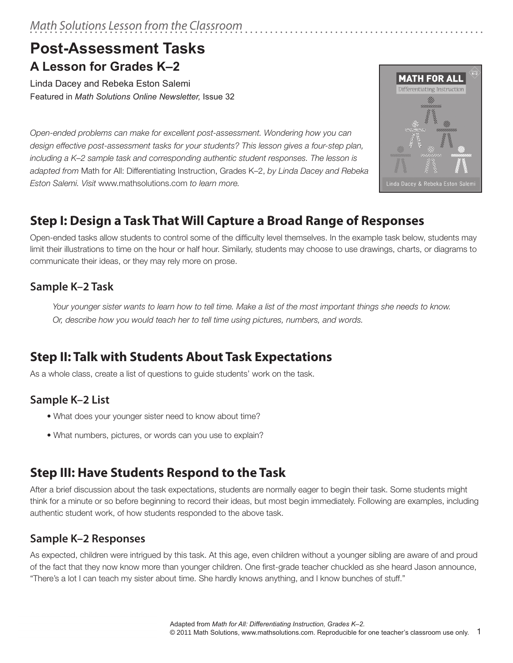# **Post-Assessment Tasks A Lesson for Grades K–2**

Linda Dacey and Rebeka Eston Salemi Featured in *Math Solutions Online Newsletter,* Issue 32

*Open-ended problems can make for excellent post-assessment. Wondering how you can design effective post-assessment tasks for your students? This lesson gives a four-step plan, including a K–2 sample task and corresponding authentic student responses. The lesson is adapted from* Math for All: Differentiating Instruction, Grades K–2, *by Linda Dacey and Rebeka Eston Salemi. Visit* www.mathsolutions.com *to learn more.* 



# **Step I: Design a Task That Will Capture a Broad Range of Responses**

Open-ended tasks allow students to control some of the difficulty level themselves. In the example task below, students may limit their illustrations to time on the hour or half hour. Similarly, students may choose to use drawings, charts, or diagrams to communicate their ideas, or they may rely more on prose.

### **Sample K–2 Task**

*Your younger sister wants to learn how to tell time. Make a list of the most important things she needs to know. Or, describe how you would teach her to tell time using pictures, numbers, and words.* 

# **Step II: Talk with Students About Task Expectations**

As a whole class, create a list of questions to guide students' work on the task.

## **Sample K–2 List**

- What does your younger sister need to know about time?
- What numbers, pictures, or words can you use to explain?

# **Step III: Have Students Respond to the Task**

After a brief discussion about the task expectations, students are normally eager to begin their task. Some students might think for a minute or so before beginning to record their ideas, but most begin immediately. Following are examples, including authentic student work, of how students responded to the above task.

### **Sample K–2 Responses**

As expected, children were intrigued by this task. At this age, even children without a younger sibling are aware of and proud of the fact that they now know more than younger children. One first-grade teacher chuckled as she heard Jason announce, "There's a lot I can teach my sister about time. She hardly knows anything, and I know bunches of stuff."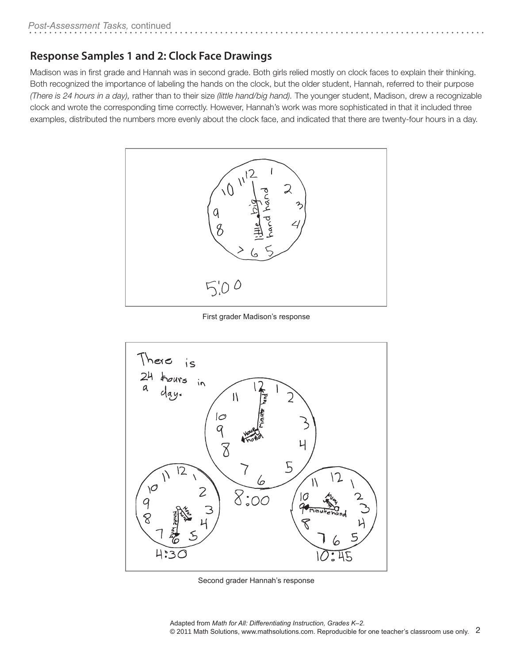### **Response Samples 1 and 2: Clock Face Drawings**

Madison was in first grade and Hannah was in second grade. Both girls relied mostly on clock faces to explain their thinking. Both recognized the importance of labeling the hands on the clock, but the older student, Hannah, referred to their purpose *(There is 24 hours in a day),* rather than to their size *(little hand/big hand).* The younger student, Madison, drew a recognizable clock and wrote the corresponding time correctly. However, Hannah's work was more sophisticated in that it included three examples, distributed the numbers more evenly about the clock face, and indicated that there are twenty-four hours in a day.



First grader Madison's response



Second grader Hannah's response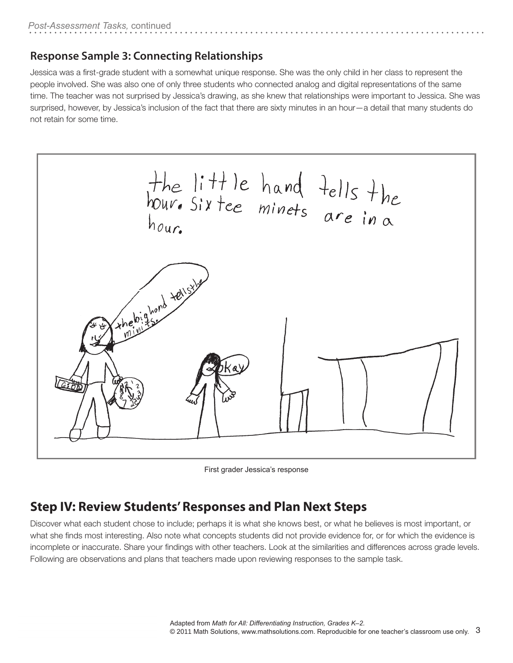#### **Response Sample 3: Connecting Relationships**

Jessica was a first-grade student with a somewhat unique response. She was the only child in her class to represent the people involved. She was also one of only three students who connected analog and digital representations of the same time. The teacher was not surprised by Jessica's drawing, as she knew that relationships were important to Jessica. She was surprised, however, by Jessica's inclusion of the fact that there are sixty minutes in an hour—a detail that many students do not retain for some time.



First grader Jessica's response

## **Step IV: Review Students' Responses and Plan Next Steps**

Discover what each student chose to include; perhaps it is what she knows best, or what he believes is most important, or what she finds most interesting. Also note what concepts students did not provide evidence for, or for which the evidence is incomplete or inaccurate. Share your findings with other teachers. Look at the similarities and differences across grade levels. Following are observations and plans that teachers made upon reviewing responses to the sample task.